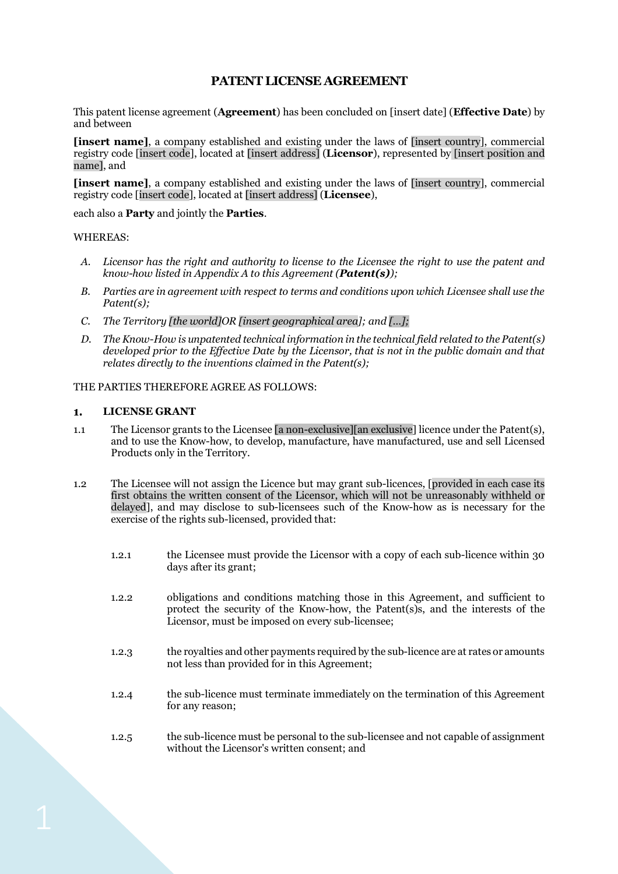# **PATENT LICENSE AGREEMENT**

This patent license agreement (**Agreement**) has been concluded on [insert date] (**Effective Date**) by and between

**[insert name]**, a company established and existing under the laws of [insert country], commercial registry code [insert code], located at [insert address] (**Licensor**), represented by [insert position and name], and

**[insert name]**, a company established and existing under the laws of [insert country], commercial registry code [insert code], located at [insert address] (**Licensee**),

each also a **Party** and jointly the **Parties**.

# WHEREAS:

- *A. Licensor has the right and authority to license to the Licensee the right to use the patent and know-how listed in Appendix A to this Agreement (Patent(s));*
- *B. Parties are in agreement with respect to terms and conditions upon which Licensee shall use the Patent(s);*
- *C. The Territory [the world]OR [insert geographical area]; and […];*
- *D. The Know-How is unpatented technical information in the technical field related to the Patent(s) developed prior to the Effective Date by the Licensor, that is not in the public domain and that relates directly to the inventions claimed in the Patent(s);*

# THE PARTIES THEREFORE AGREE AS FOLLOWS:

#### **LICENSE GRANT**  $\mathbf{1}$ .

- 1.1 The Licensor grants to the Licensee [a non-exclusive][an exclusive] licence under the Patent(s), and to use the Know-how, to develop, manufacture, have manufactured, use and sell Licensed Products only in the Territory.
- 1.2 The Licensee will not assign the Licence but may grant sub-licences, [provided in each case its first obtains the written consent of the Licensor, which will not be unreasonably withheld or delayed], and may disclose to sub-licensees such of the Know-how as is necessary for the exercise of the rights sub-licensed, provided that:
	- 1.2.1 the Licensee must provide the Licensor with a copy of each sub-licence within 30 days after its grant;
	- 1.2.2 obligations and conditions matching those in this Agreement, and sufficient to protect the security of the Know-how, the Patent(s)s, and the interests of the Licensor, must be imposed on every sub-licensee;
	- 1.2.3 the royalties and other payments required by the sub-licence are at rates or amounts not less than provided for in this Agreement;
	- 1.2.4 the sub-licence must terminate immediately on the termination of this Agreement for any reason;
	- 1.2.5 the sub-licence must be personal to the sub-licensee and not capable of assignment without the Licensor's written consent; and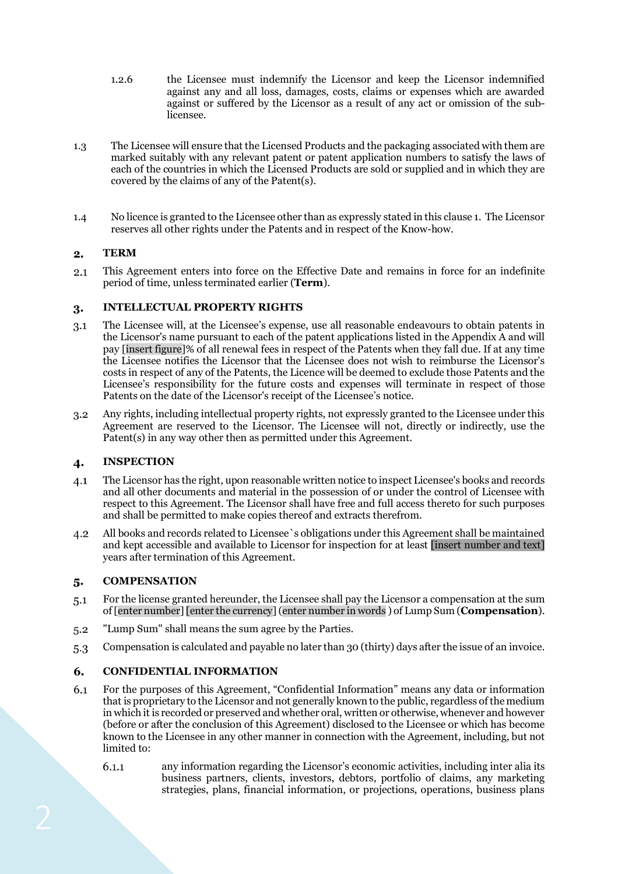- 1.2.6 the Licensee must indemnify the Licensor and keep the Licensor indemnified against any and all loss, damages, costs, claims or expenses which are awarded against or suffered by the Licensor as a result of any act or omission of the sublicensee.
- 1.3 The Licensee will ensure that the Licensed Products and the packaging associated with them are marked suitably with any relevant patent or patent application numbers to satisfy the laws of each of the countries in which the Licensed Products are sold or supplied and in which they are covered by the claims of any of the Patent(s).
- 1.4 No licence is granted to the Licensee other than as expressly stated in this clause 1. The Licensor reserves all other rights under the Patents and in respect of the Know-how.

# $2.$ **TERM**

 $2.1$ This Agreement enters into force on the Effective Date and remains in force for an indefinite period of time, unless terminated earlier (**Term**).

### **INTELLECTUAL PROPERTY RIGHTS** 3.

- $3.1$ The Licensee will, at the Licensee's expense, use all reasonable endeavours to obtain patents in the Licensor's name pursuant to each of the patent applications listed in the Appendix A and will pay [insert figure]% of all renewal fees in respect of the Patents when they fall due. If at any time the Licensee notifies the Licensor that the Licensee does not wish to reimburse the Licensor's costs in respect of any of the Patents, the Licence will be deemed to exclude those Patents and the Licensee's responsibility for the future costs and expenses will terminate in respect of those Patents on the date of the Licensor's receipt of the Licensee's notice.
- Any rights, including intellectual property rights, not expressly granted to the Licensee under this  $3.2$ Agreement are reserved to the Licensor. The Licensee will not, directly or indirectly, use the Patent(s) in any way other then as permitted under this Agreement.

### **INSPECTION**  $\boldsymbol{4}$

- The Licensor has the right, upon reasonable written notice to inspect Licensee's books and records  $4.1$ and all other documents and material in the possession of or under the control of Licensee with respect to this Agreement. The Licensor shall have free and full access thereto for such purposes and shall be permitted to make copies thereof and extracts therefrom.
- All books and records related to Licensee`s obligations under this Agreement shall be maintained  $4.2$ and kept accessible and available to Licensor for inspection for at least [insert number and text] years after termination of this Agreement.

### **COMPENSATION** 5.

- $5.1$ For the license granted hereunder, the Licensee shall pay the Licensor a compensation at the sum of [enter number] [enter the currency](enter number in words ) of Lump Sum (**Compensation**).
- "Lump Sum" shall means the sum agree by the Parties.  $5.2$
- Compensation is calculated and payable no later than 30 (thirty) days after the issue of an invoice.  $5.3$

# 6. **CONFIDENTIAL INFORMATION**

- For the purposes of this Agreement, "Confidential Information" means any data or information 6.1 that is proprietary to the Licensor and not generally known to the public, regardless of the medium in which it is recorded or preserved and whether oral, written or otherwise, whenever and however (before or after the conclusion of this Agreement) disclosed to the Licensee or which has become known to the Licensee in any other manner in connection with the Agreement, including, but not limited to:
	- any information regarding the Licensor's economic activities, including inter alia its  $6.1.1$ business partners, clients, investors, debtors, portfolio of claims, any marketing strategies, plans, financial information, or projections, operations, business plans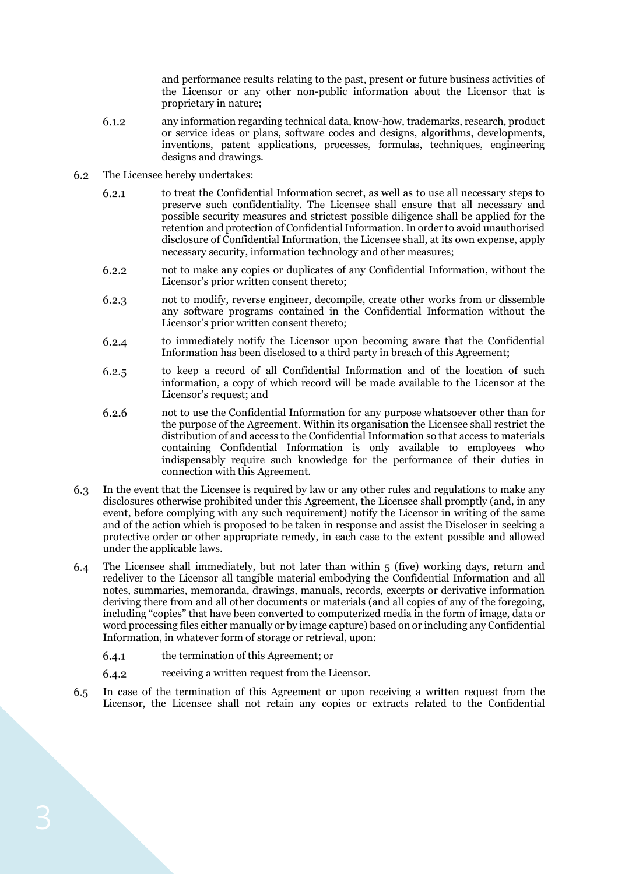and performance results relating to the past, present or future business activities of the Licensor or any other non-public information about the Licensor that is proprietary in nature;

- 6.1.2 any information regarding technical data, know-how, trademarks, research, product or service ideas or plans, software codes and designs, algorithms, developments, inventions, patent applications, processes, formulas, techniques, engineering designs and drawings.
- The Licensee hereby undertakes: 6.2
	- to treat the Confidential Information secret, as well as to use all necessary steps to  $6.2.1$ preserve such confidentiality. The Licensee shall ensure that all necessary and possible security measures and strictest possible diligence shall be applied for the retention and protection of Confidential Information. In order to avoid unauthorised disclosure of Confidential Information, the Licensee shall, at its own expense, apply necessary security, information technology and other measures;
	- not to make any copies or duplicates of any Confidential Information, without the  $6.2.2$ Licensor's prior written consent thereto;
	- $6.2.3$ not to modify, reverse engineer, decompile, create other works from or dissemble any software programs contained in the Confidential Information without the Licensor's prior written consent thereto;
	- $6.2.4$ to immediately notify the Licensor upon becoming aware that the Confidential Information has been disclosed to a third party in breach of this Agreement;
	- to keep a record of all Confidential Information and of the location of such 6.2.5 information, a copy of which record will be made available to the Licensor at the Licensor's request; and
	- not to use the Confidential Information for any purpose whatsoever other than for 6.2.6 the purpose of the Agreement. Within its organisation the Licensee shall restrict the distribution of and access to the Confidential Information so that access to materials containing Confidential Information is only available to employees who indispensably require such knowledge for the performance of their duties in connection with this Agreement.
- 6.3 In the event that the Licensee is required by law or any other rules and regulations to make any disclosures otherwise prohibited under this Agreement, the Licensee shall promptly (and, in any event, before complying with any such requirement) notify the Licensor in writing of the same and of the action which is proposed to be taken in response and assist the Discloser in seeking a protective order or other appropriate remedy, in each case to the extent possible and allowed under the applicable laws.
- The Licensee shall immediately, but not later than within 5 (five) working days, return and 6.4 redeliver to the Licensor all tangible material embodying the Confidential Information and all notes, summaries, memoranda, drawings, manuals, records, excerpts or derivative information deriving there from and all other documents or materials (and all copies of any of the foregoing, including "copies" that have been converted to computerized media in the form of image, data or word processing files either manually or by image capture) based on or including any Confidential Information, in whatever form of storage or retrieval, upon:
	- $6.4.1$ the termination of this Agreement; or
	- 6.4.2 receiving a written request from the Licensor.
- In case of the termination of this Agreement or upon receiving a written request from the 6.5 Licensor, the Licensee shall not retain any copies or extracts related to the Confidential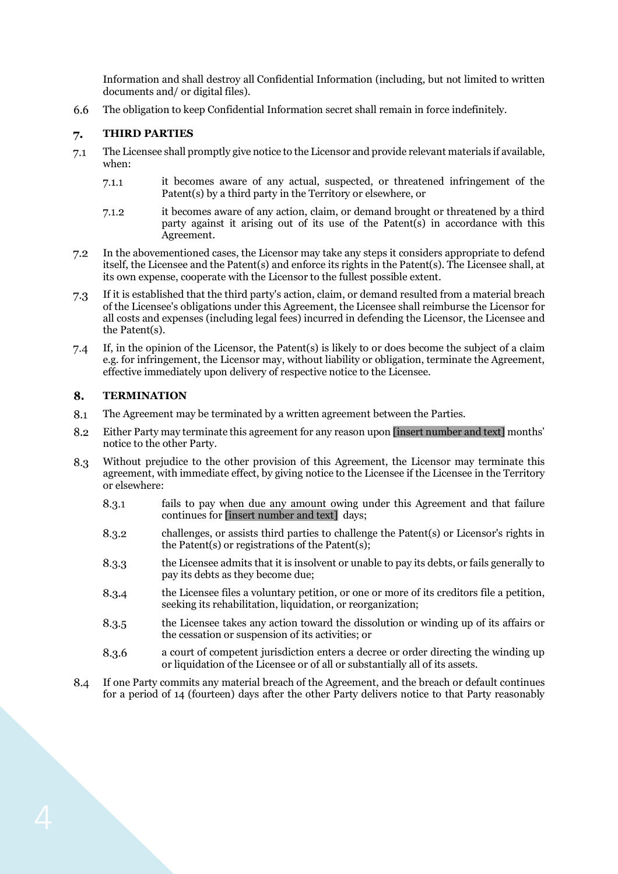Information and shall destroy all Confidential Information (including, but not limited to written documents and/ or digital files).

The obligation to keep Confidential Information secret shall remain in force indefinitely. 6.6

### **THIRD PARTIES** 7.

- The Licensee shall promptly give notice to the Licensor and provide relevant materials if available,  $7.1$ when:
	- $7.1.1$ it becomes aware of any actual, suspected, or threatened infringement of the Patent(s) by a third party in the Territory or elsewhere, or
	- it becomes aware of any action, claim, or demand brought or threatened by a third  $7.1.2$ party against it arising out of its use of the Patent(s) in accordance with this Agreement.
- $7.2$ In the abovementioned cases, the Licensor may take any steps it considers appropriate to defend itself, the Licensee and the Patent(s) and enforce its rights in the Patent(s). The Licensee shall, at its own expense, cooperate with the Licensor to the fullest possible extent.
- If it is established that the third party's action, claim, or demand resulted from a material breach  $7.3$ of the Licensee's obligations under this Agreement, the Licensee shall reimburse the Licensor for all costs and expenses (including legal fees) incurred in defending the Licensor, the Licensee and the Patent(s).
- If, in the opinion of the Licensor, the Patent(s) is likely to or does become the subject of a claim  $7.4$ e.g. for infringement, the Licensor may, without liability or obligation, terminate the Agreement, effective immediately upon delivery of respective notice to the Licensee.

#### 8. **TERMINATION**

- 8.1 The Agreement may be terminated by a written agreement between the Parties.
- 8.2 Either Party may terminate this agreement for any reason upon [insert number and text] months' notice to the other Party.
- 8.3 Without prejudice to the other provision of this Agreement, the Licensor may terminate this agreement, with immediate effect, by giving notice to the Licensee if the Licensee in the Territory or elsewhere:
	- 8.3.1 fails to pay when due any amount owing under this Agreement and that failure continues for [insert number and text] days;
	- 8.3.2 challenges, or assists third parties to challenge the Patent(s) or Licensor's rights in the Patent(s) or registrations of the Patent(s);
	- 8.3.3 the Licensee admits that it is insolvent or unable to pay its debts, or fails generally to pay its debts as they become due;
	- the Licensee files a voluntary petition, or one or more of its creditors file a petition, 8.3.4 seeking its rehabilitation, liquidation, or reorganization;
	- 8.3.5 the Licensee takes any action toward the dissolution or winding up of its affairs or the cessation or suspension of its activities; or
	- 8.3.6 a court of competent jurisdiction enters a decree or order directing the winding up or liquidation of the Licensee or of all or substantially all of its assets.
- If one Party commits any material breach of the Agreement, and the breach or default continues 8.4 for a period of 14 (fourteen) days after the other Party delivers notice to that Party reasonably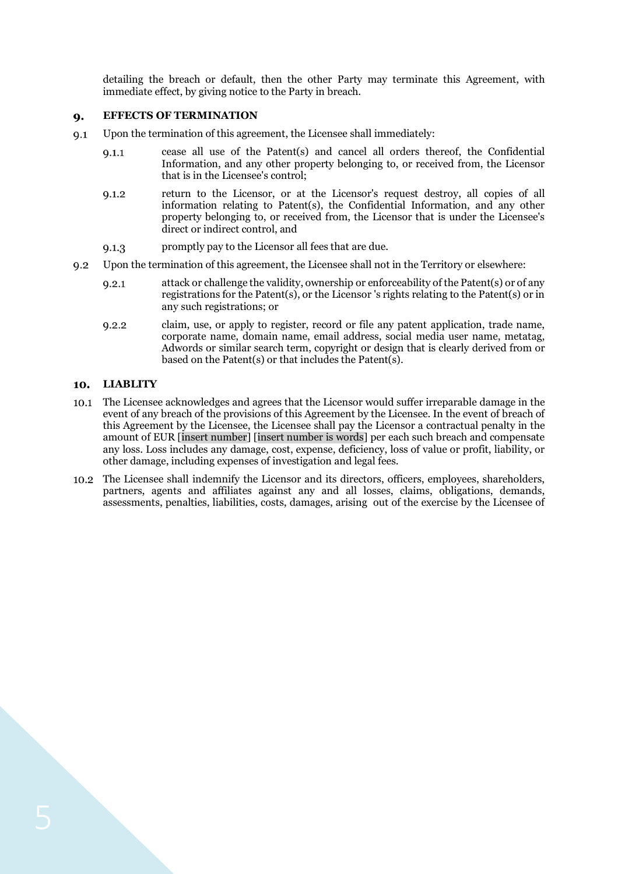detailing the breach or default, then the other Party may terminate this Agreement, with immediate effect, by giving notice to the Party in breach.

### **EFFECTS OF TERMINATION** 9.

- Upon the termination of this agreement, the Licensee shall immediately:  $Q.1$ 
	- cease all use of the Patent(s) and cancel all orders thereof, the Confidential  $9.1.1$ Information, and any other property belonging to, or received from, the Licensor that is in the Licensee's control;
	- return to the Licensor, or at the Licensor's request destroy, all copies of all  $9.1.2$ information relating to Patent(s), the Confidential Information, and any other property belonging to, or received from, the Licensor that is under the Licensee's direct or indirect control, and
	- promptly pay to the Licensor all fees that are due.  $9.1.3$
- $9.2$ Upon the termination of this agreement, the Licensee shall not in the Territory or elsewhere:
	- attack or challenge the validity, ownership or enforceability of the Patent(s) or of any  $9.2.1$ registrations for the Patent(s), or the Licensor 's rights relating to the Patent(s) or in any such registrations; or
	- claim, use, or apply to register, record or file any patent application, trade name,  $9.2.2$ corporate name, domain name, email address, social media user name, metatag, Adwords or similar search term, copyright or design that is clearly derived from or based on the Patent(s) or that includes the Patent(s).

# **LIABLITY**

- The Licensee acknowledges and agrees that the Licensor would suffer irreparable damage in the event of any breach of the provisions of this Agreement by the Licensee. In the event of breach of this Agreement by the Licensee, the Licensee shall pay the Licensor a contractual penalty in the amount of EUR [insert number] [insert number is words] per each such breach and compensate any loss. Loss includes any damage, cost, expense, deficiency, loss of value or profit, liability, or other damage, including expenses of investigation and legal fees.
- The Licensee shall indemnify the Licensor and its directors, officers, employees, shareholders, partners, agents and affiliates against any and all losses, claims, obligations, demands, assessments, penalties, liabilities, costs, damages, arising out of the exercise by the Licensee of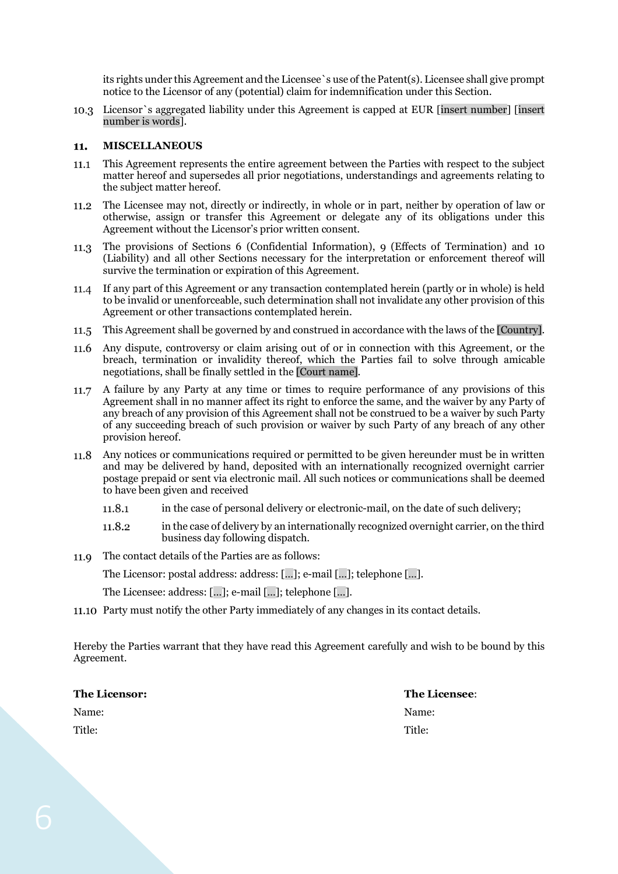its rights under this Agreement and the Licensee`s use of the Patent(s). Licensee shall give prompt notice to the Licensor of any (potential) claim for indemnification under this Section.

Licensor`s aggregated liability under this Agreement is capped at EUR [insert number] [insert number is words].

#### **MISCELLANEOUS** 11.

- $11.1$ This Agreement represents the entire agreement between the Parties with respect to the subject matter hereof and supersedes all prior negotiations, understandings and agreements relating to the subject matter hereof.
- The Licensee may not, directly or indirectly, in whole or in part, neither by operation of law or  $11.2$ otherwise, assign or transfer this Agreement or delegate any of its obligations under this Agreement without the Licensor's prior written consent.
- The provisions of Sections 6 (Confidential Information), 9 (Effects of Termination) and 10 11.3 (Liability) and all other Sections necessary for the interpretation or enforcement thereof will survive the termination or expiration of this Agreement.
- If any part of this Agreement or any transaction contemplated herein (partly or in whole) is held to be invalid or unenforceable, such determination shall not invalidate any other provision of this Agreement or other transactions contemplated herein.
- This Agreement shall be governed by and construed in accordance with the laws of the [Country].
- Any dispute, controversy or claim arising out of or in connection with this Agreement, or the breach, termination or invalidity thereof, which the Parties fail to solve through amicable negotiations, shall be finally settled in the [Court name].
- 11.7 A failure by any Party at any time or times to require performance of any provisions of this Agreement shall in no manner affect its right to enforce the same, and the waiver by any Party of any breach of any provision of this Agreement shall not be construed to be a waiver by such Party of any succeeding breach of such provision or waiver by such Party of any breach of any other provision hereof.
- Any notices or communications required or permitted to be given hereunder must be in written and may be delivered by hand, deposited with an internationally recognized overnight carrier postage prepaid or sent via electronic mail. All such notices or communications shall be deemed to have been given and received
	- 11.8.1 in the case of personal delivery or electronic-mail, on the date of such delivery;
	- 11.8.2 in the case of delivery by an internationally recognized overnight carrier, on the third business day following dispatch.
- The contact details of the Parties are as follows: 11.9

The Licensor: postal address: address: […]; e-mail […]; telephone […].

The Licensee: address: […]; e-mail […]; telephone […].

Party must notify the other Party immediately of any changes in its contact details.

Hereby the Parties warrant that they have read this Agreement carefully and wish to be bound by this Agreement.

| <b>The Licensor:</b> | The Licensee: |
|----------------------|---------------|
| Name:                | Name:         |
| Title:               | Title:        |